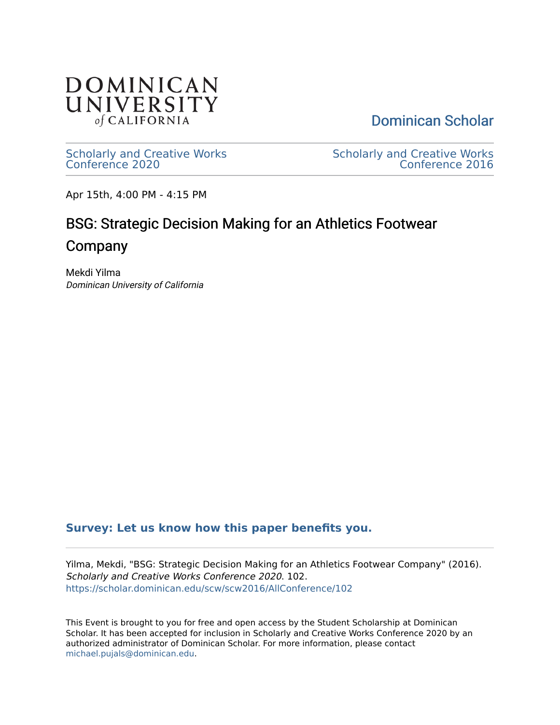

[Dominican Scholar](https://scholar.dominican.edu/) 

[Scholarly and Creative Works](https://scholar.dominican.edu/scw) [Conference 2020](https://scholar.dominican.edu/scw) 

[Scholarly and Creative Works](https://scholar.dominican.edu/scw/scw2016)  [Conference 2016](https://scholar.dominican.edu/scw/scw2016) 

Apr 15th, 4:00 PM - 4:15 PM

# BSG: Strategic Decision Making for an Athletics Footwear Company

Mekdi Yilma Dominican University of California

## **[Survey: Let us know how this paper benefits you.](https://dominican.libwizard.com/dominican-scholar-feedback)**

Yilma, Mekdi, "BSG: Strategic Decision Making for an Athletics Footwear Company" (2016). Scholarly and Creative Works Conference 2020. 102. [https://scholar.dominican.edu/scw/scw2016/AllConference/102](https://scholar.dominican.edu/scw/scw2016/AllConference/102?utm_source=scholar.dominican.edu%2Fscw%2Fscw2016%2FAllConference%2F102&utm_medium=PDF&utm_campaign=PDFCoverPages) 

This Event is brought to you for free and open access by the Student Scholarship at Dominican Scholar. It has been accepted for inclusion in Scholarly and Creative Works Conference 2020 by an authorized administrator of Dominican Scholar. For more information, please contact [michael.pujals@dominican.edu.](mailto:michael.pujals@dominican.edu)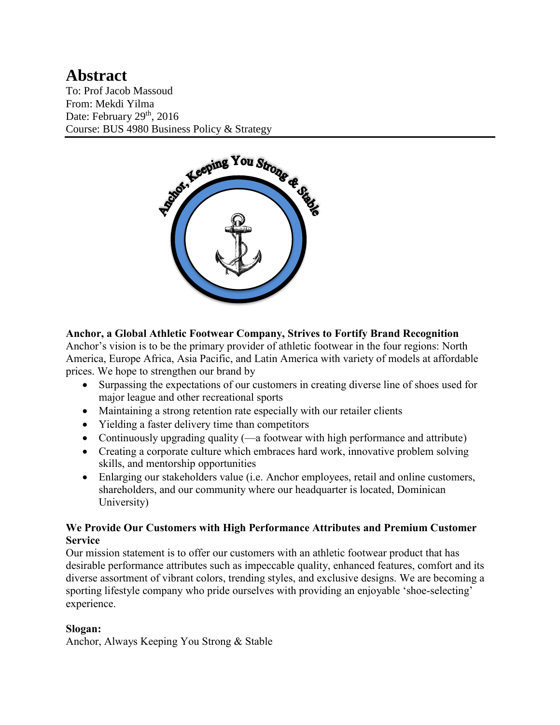## **Abstract** To: Prof Jacob Massoud From: Mekdi Yilma Date: February 29<sup>th</sup>, 2016

Course: BUS 4980 Business Policy & Strategy



## **Anchor, a Global Athletic Footwear Company, Strives to Fortify Brand Recognition**

Anchor's vision is to be the primary provider of athletic footwear in the four regions: North America, Europe Africa, Asia Pacific, and Latin America with variety of models at affordable prices. We hope to strengthen our brand by

- Surpassing the expectations of our customers in creating diverse line of shoes used for major league and other recreational sports
- Maintaining a strong retention rate especially with our retailer clients
- Yielding a faster delivery time than competitors
- Continuously upgrading quality (—a footwear with high performance and attribute)
- Creating a corporate culture which embraces hard work, innovative problem solving skills, and mentorship opportunities
- Enlarging our stakeholders value (i.e. Anchor employees, retail and online customers, shareholders, and our community where our headquarter is located, Dominican University)

#### **We Provide Our Customers with High Performance Attributes and Premium Customer Service**

Our mission statement is to offer our customers with an athletic footwear product that has desirable performance attributes such as impeccable quality, enhanced features, comfort and its diverse assortment of vibrant colors, trending styles, and exclusive designs. We are becoming a sporting lifestyle company who pride ourselves with providing an enjoyable 'shoe-selecting' experience.

## **Slogan:**

Anchor, Always Keeping You Strong & Stable